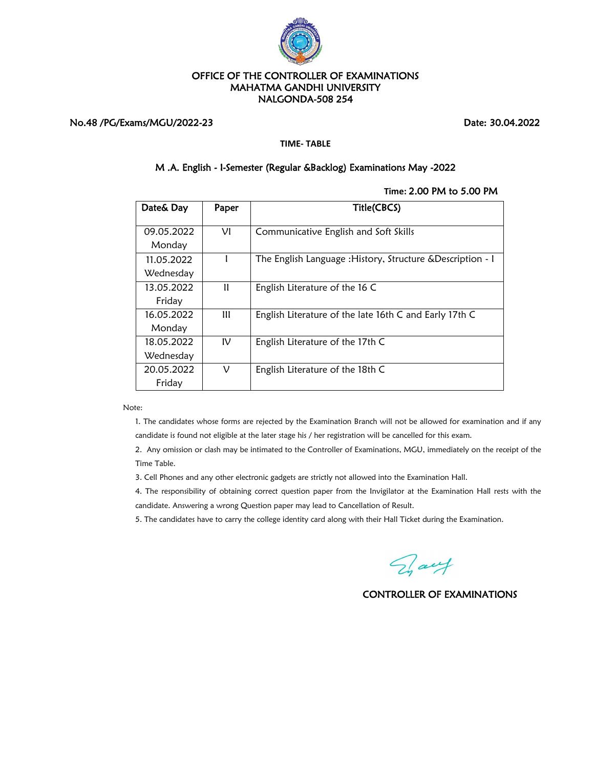

# No.48 /PG/Exams/MGU/2022-23 Date: 30.04.2022

#### **TIME- TABLE**

# M .A. English - I-Semester (Regular &Backlog) Examinations May -2022

#### **Time:** 2.00 PM to 5.00 PM

| Date& Day               | Paper          | Title(CBCS)                                                 |
|-------------------------|----------------|-------------------------------------------------------------|
| 09.05.2022<br>Monday    | νı             | Communicative English and Soft Skills                       |
| 11.05.2022<br>Wednesday |                | The English Language : History, Structure & Description - 1 |
| 13.05.2022<br>Friday    | Ħ              | English Literature of the 16 C                              |
| 16.05.2022<br>Monday    | $\mathbf{III}$ | English Literature of the late 16th C and Early 17th C      |
| 18.05.2022<br>Wednesday | $\mathsf{IV}$  | English Literature of the 17th C                            |
| 20.05.2022<br>Friday    | ν              | English Literature of the 18th C                            |

Note:

1. The candidates whose forms are rejected by the Examination Branch will not be allowed for examination and if any candidate is found not eligible at the later stage his / her registration will be cancelled for this exam.

2. Any omission or clash may be intimated to the Controller of Examinations, MGU, immediately on the receipt of the Time Table.

3. Cell Phones and any other electronic gadgets are strictly not allowed into the Examination Hall.

4. The responsibility of obtaining correct question paper from the Invigilator at the Examination Hall rests with the candidate. Answering a wrong Question paper may lead to Cancellation of Result.

5. The candidates have to carry the college identity card along with their Hall Ticket during the Examination.

Fray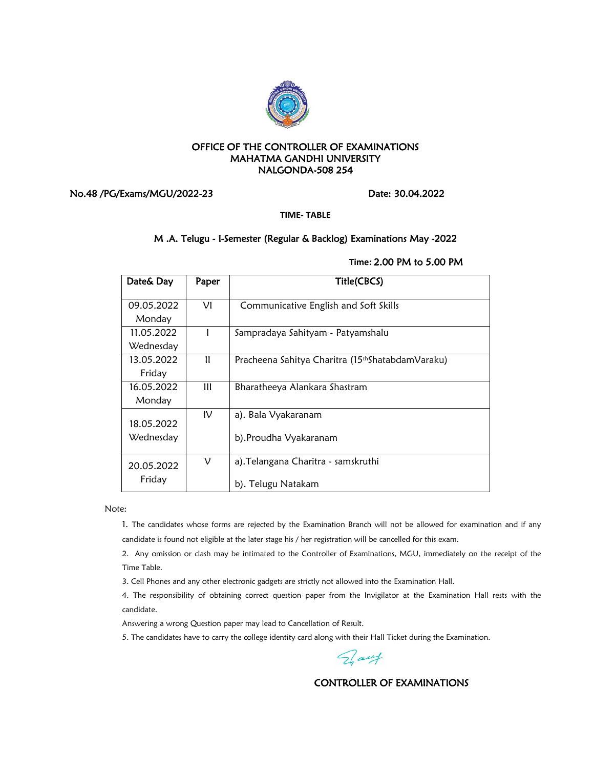

No.48 /PG/Exams/MGU/2022-23 Date: 30.04.2022

**TIME- TABLE**

# M .A. Telugu - I-Semester (Regular & Backlog) Examinations May -2022

| Date& Day               | Paper        | Title(CBCS)                                                   |
|-------------------------|--------------|---------------------------------------------------------------|
| 09.05.2022<br>Monday    | VI           | Communicative English and Soft Skills                         |
| 11.05.2022<br>Wednesday |              | Sampradaya Sahityam - Patyamshalu                             |
| 13.05.2022<br>Friday    | Ħ            | Pracheena Sahitya Charitra (15 <sup>th</sup> ShatabdamVaraku) |
| 16.05.2022<br>Monday    | $\mathbf{m}$ | Bharatheeya Alankara Shastram                                 |
| 18.05.2022<br>Wednesday | IV           | a). Bala Vyakaranam<br>b).Proudha Vyakaranam                  |
| 20.05.2022<br>Friday    | ν            | a). Telangana Charitra - samskruthi<br>b). Telugu Natakam     |

# **Time:** 2.00 PM to 5.00 PM

Note:

1. The candidates whose forms are rejected by the Examination Branch will not be allowed for examination and if any candidate is found not eligible at the later stage his / her registration will be cancelled for this exam.

2. Any omission or clash may be intimated to the Controller of Examinations, MGU, immediately on the receipt of the Time Table.

3. Cell Phones and any other electronic gadgets are strictly not allowed into the Examination Hall.

4. The responsibility of obtaining correct question paper from the Invigilator at the Examination Hall rests with the candidate.

Answering a wrong Question paper may lead to Cancellation of Result.

5. The candidates have to carry the college identity card along with their Hall Ticket during the Examination.

Day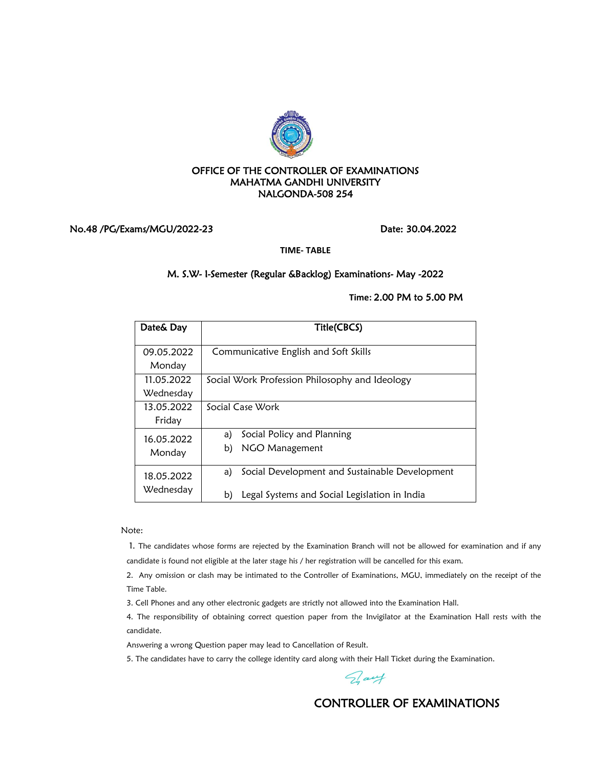

### No.48 /PG/Exams/MGU/2022-23 Date: 30.04.2022

**TIME- TABLE**

# M. S.W- I-Semester (Regular &Backlog) Examinations- May -2022

**Time:** 2.00 PM to 5.00 PM

| Date& Day               | Title(CBCS)                                                                                                 |
|-------------------------|-------------------------------------------------------------------------------------------------------------|
| 09.05.2022<br>Monday    | Communicative English and Soft Skills                                                                       |
| 11.05.2022<br>Wednesday | Social Work Profession Philosophy and Ideology                                                              |
| 13.05.2022<br>Friday    | Social Case Work                                                                                            |
| 16.05.2022<br>Monday    | Social Policy and Planning<br>a)<br>NGO Management<br>b)                                                    |
| 18.05.2022<br>Wednesday | Social Development and Sustainable Development<br>a)<br>Legal Systems and Social Legislation in India<br>b) |

Note:

1. The candidates whose forms are rejected by the Examination Branch will not be allowed for examination and if any candidate is found not eligible at the later stage his / her registration will be cancelled for this exam.

2. Any omission or clash may be intimated to the Controller of Examinations, MGU, immediately on the receipt of the Time Table.

3. Cell Phones and any other electronic gadgets are strictly not allowed into the Examination Hall.

4. The responsibility of obtaining correct question paper from the Invigilator at the Examination Hall rests with the candidate.

Answering a wrong Question paper may lead to Cancellation of Result.

5. The candidates have to carry the college identity card along with their Hall Ticket during the Examination.

Day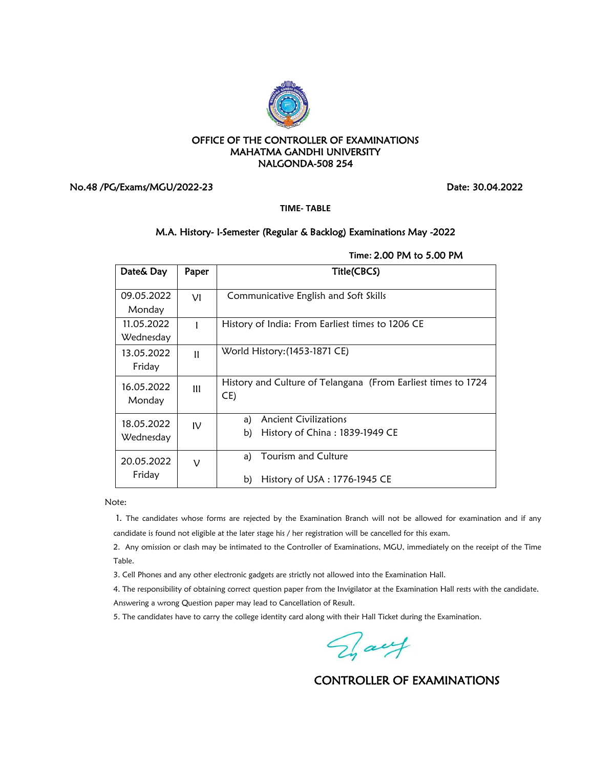

No.48 /PG/Exams/MGU/2022-23 Date: 30.04.2022

**TIME- TABLE**

### M.A. History- I-Semester (Regular & Backlog) Examinations May -2022

| Date& Day  | Paper          | Title(CBCS)                                                   |  |
|------------|----------------|---------------------------------------------------------------|--|
| 09.05.2022 | VI             | Communicative English and Soft Skills                         |  |
| Monday     |                |                                                               |  |
| 11.05.2022 |                | History of India: From Earliest times to 1206 CE              |  |
| Wednesday  |                |                                                               |  |
| 13.05.2022 | $\mathbf{I}$   | World History: (1453-1871 CE)                                 |  |
| Friday     |                |                                                               |  |
| 16.05.2022 | $\mathbf{III}$ | History and Culture of Telangana (From Earliest times to 1724 |  |
| Monday     |                | CE)                                                           |  |
| 18.05.2022 | $\mathsf{IV}$  | Ancient Civilizations<br>a)                                   |  |
| Wednesday  |                | b)<br>History of China: 1839-1949 CE                          |  |
|            |                |                                                               |  |
| 20.05.2022 | ν              | Tourism and Culture<br>a)                                     |  |
| Friday     |                | History of USA : 1776-1945 CE<br>b)                           |  |

**Time:** 2.00 PM to 5.00 PM

Note:

1. The candidates whose forms are rejected by the Examination Branch will not be allowed for examination and if any candidate is found not eligible at the later stage his / her registration will be cancelled for this exam.

2. Any omission or clash may be intimated to the Controller of Examinations, MGU, immediately on the receipt of the Time Table.

3. Cell Phones and any other electronic gadgets are strictly not allowed into the Examination Hall.

4. The responsibility of obtaining correct question paper from the Invigilator at the Examination Hall rests with the candidate. Answering a wrong Question paper may lead to Cancellation of Result.

5. The candidates have to carry the college identity card along with their Hall Ticket during the Examination.

Fray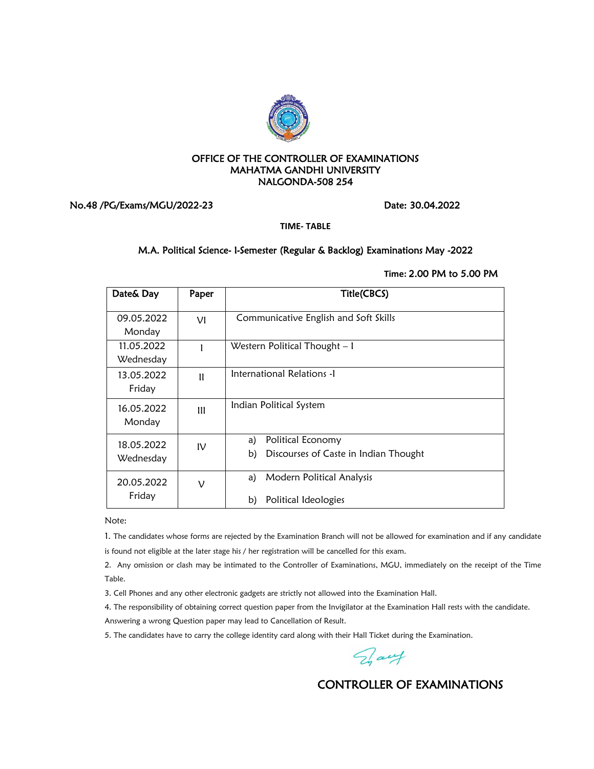

# No.48 /PG/Exams/MGU/2022-23 Date: 30.04.2022

**TIME- TABLE**

# M.A. Political Science- I-Semester (Regular & Backlog) Examinations May -2022

## **Time:** 2.00 PM to 5.00 PM

| Date& Day               | Paper         | Title(CBCS)                                                            |
|-------------------------|---------------|------------------------------------------------------------------------|
| 09.05.2022<br>Monday    | VI            | Communicative English and Soft Skills                                  |
| 11.05.2022<br>Wednesday |               | Western Political Thought – I                                          |
| 13.05.2022<br>Friday    | $\mathbf{I}$  | International Relations -1                                             |
| 16.05.2022<br>Monday    | $\mathbf{m}$  | Indian Political System                                                |
| 18.05.2022<br>Wednesday | $\mathsf{IV}$ | Political Economy<br>a)<br>b)<br>Discourses of Caste in Indian Thought |
| 20.05.2022<br>Friday    | ν             | Modern Political Analysis<br>a)<br>Political Ideologies<br>b)          |

Note:

1. The candidates whose forms are rejected by the Examination Branch will not be allowed for examination and if any candidate is found not eligible at the later stage his / her registration will be cancelled for this exam.

2. Any omission or clash may be intimated to the Controller of Examinations, MGU, immediately on the receipt of the Time Table.

3. Cell Phones and any other electronic gadgets are strictly not allowed into the Examination Hall.

4. The responsibility of obtaining correct question paper from the Invigilator at the Examination Hall rests with the candidate.

Answering a wrong Question paper may lead to Cancellation of Result.

5. The candidates have to carry the college identity card along with their Hall Ticket during the Examination.

Day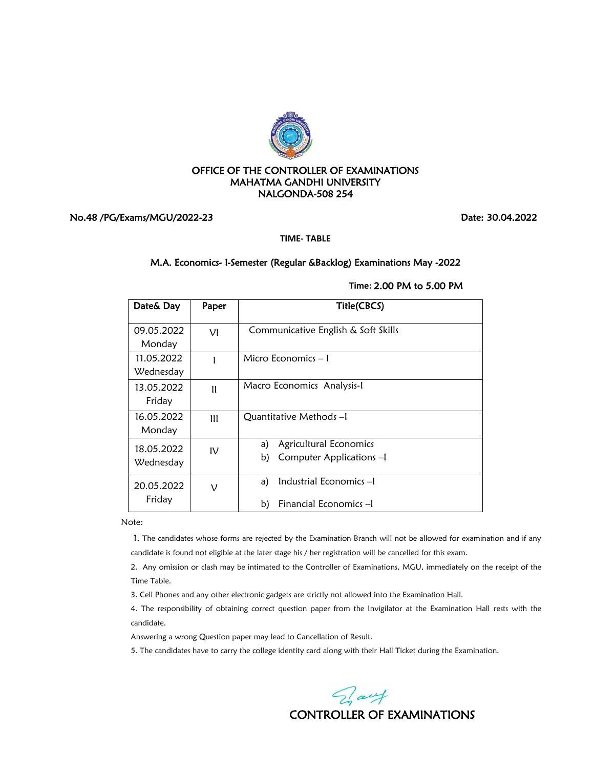

# No.48 /PG/Exams/MGU/2022-23 Date: 30.04.2022

**TIME- TABLE**

# M.A. Economics- I-Semester (Regular &Backlog) Examinations May -2022

**Time:** 2.00 PM to 5.00 PM

| Date& Day               | Paper         | Title(CBCS)                                                    |
|-------------------------|---------------|----------------------------------------------------------------|
| 09.05.2022<br>Monday    | νı            | Communicative English & Soft Skills                            |
| 11.05.2022<br>Wednesday |               | Micro Economics – I                                            |
| 13.05.2022<br>Friday    | $\mathbf{u}$  | Macro Economics Analysis-1                                     |
| 16.05.2022<br>Monday    | $\mathbf{m}$  | Ouantitative Methods - I                                       |
| 18.05.2022<br>Wednesday | $\mathsf{IV}$ | Agricultural Economics<br>a)<br>b)<br>Computer Applications -1 |
| 20.05.2022<br>Friday    | ν             | Industrial Economics -I<br>a)<br>b)<br>Financial Economics-I   |

Note:

1. The candidates whose forms are rejected by the Examination Branch will not be allowed for examination and if any candidate is found not eligible at the later stage his / her registration will be cancelled for this exam.

2. Any omission or clash may be intimated to the Controller of Examinations, MGU, immediately on the receipt of the Time Table.

3. Cell Phones and any other electronic gadgets are strictly not allowed into the Examination Hall.

4. The responsibility of obtaining correct question paper from the Invigilator at the Examination Hall rests with the candidate.

Answering a wrong Question paper may lead to Cancellation of Result.

5. The candidates have to carry the college identity card along with their Hall Ticket during the Examination.

Fray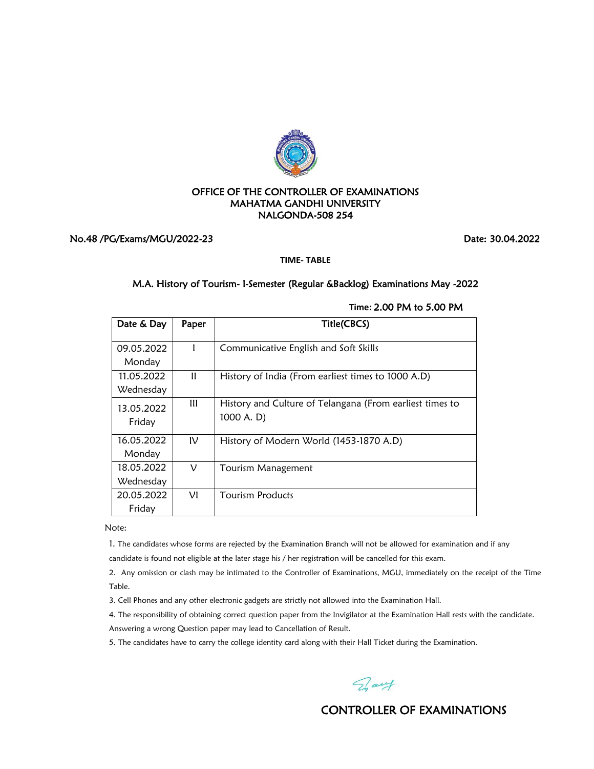

No.48 /PG/Exams/MGU/2022-23 Date: 30.04.2022

**TIME- TABLE**

# M.A. History of Tourism- I-Semester (Regular &Backlog) Examinations May -2022

| Date & Day              | Paper        | Title(CBCS)                                                            |
|-------------------------|--------------|------------------------------------------------------------------------|
| 09.05.2022<br>Monday    |              | Communicative English and Soft Skills                                  |
| 11.05.2022<br>Wednesday | $\mathbf{u}$ | History of India (From earliest times to 1000 A.D)                     |
| 13.05.2022<br>Friday    | Ш            | History and Culture of Telangana (From earliest times to<br>1000 A. D) |
| 16.05.2022<br>Monday    | IV           | History of Modern World (1453-1870 A.D)                                |
| 18.05.2022<br>Wednesday | ν            | Tourism Management                                                     |
| 20.05.2022<br>Friday    | VI           | Tourism Products                                                       |

**Time:** 2.00 PM to 5.00 PM

Note:

1. The candidates whose forms are rejected by the Examination Branch will not be allowed for examination and if any

candidate is found not eligible at the later stage his / her registration will be cancelled for this exam.

2. Any omission or clash may be intimated to the Controller of Examinations, MGU, immediately on the receipt of the Time Table.

3. Cell Phones and any other electronic gadgets are strictly not allowed into the Examination Hall.

4. The responsibility of obtaining correct question paper from the Invigilator at the Examination Hall rests with the candidate.

Answering a wrong Question paper may lead to Cancellation of Result.

5. The candidates have to carry the college identity card along with their Hall Ticket during the Examination.

Day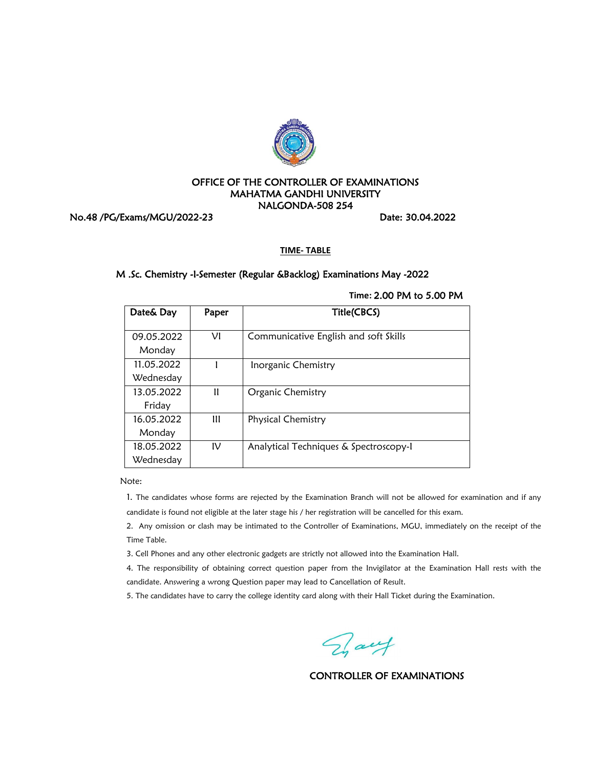

No.48 /PG/Exams/MGU/2022-23 Date: 30.04.2022

#### **TIME- TABLE**

### M .Sc. Chemistry -I-Semester (Regular &Backlog) Examinations May -2022

| Date& Day  | Paper | Title(CBCS)                            |
|------------|-------|----------------------------------------|
| 09.05.2022 | νı    | Communicative English and soft Skills  |
| Monday     |       |                                        |
| 11.05.2022 |       | Inorganic Chemistry                    |
| Wednesday  |       |                                        |
| 13.05.2022 | Ħ     | Organic Chemistry                      |
| Friday     |       |                                        |
| 16.05.2022 | Ш     | Physical Chemistry                     |
| Monday     |       |                                        |
| 18.05.2022 | ΙV    | Analytical Techniques & Spectroscopy-1 |
| Wednesday  |       |                                        |

**Time:** 2.00 PM to 5.00 PM

Note:

1. The candidates whose forms are rejected by the Examination Branch will not be allowed for examination and if any candidate is found not eligible at the later stage his / her registration will be cancelled for this exam.

2. Any omission or clash may be intimated to the Controller of Examinations, MGU, immediately on the receipt of the Time Table.

3. Cell Phones and any other electronic gadgets are strictly not allowed into the Examination Hall.

4. The responsibility of obtaining correct question paper from the Invigilator at the Examination Hall rests with the candidate. Answering a wrong Question paper may lead to Cancellation of Result.

Fraut

CONTROLLER OF EXAMINATIONS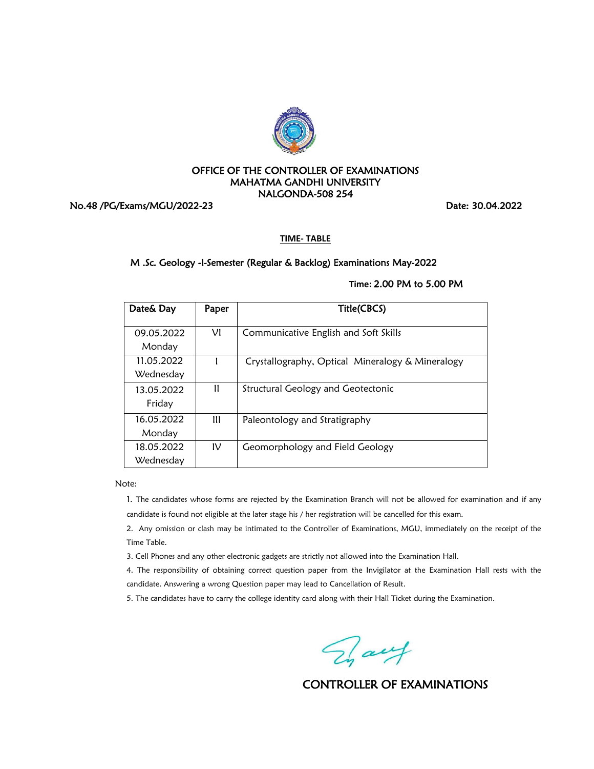

No.48 /PG/Exams/MGU/2022-23 Date: 30.04.2022

**TIME- TABLE**

# M .Sc. Geology -I-Semester (Regular & Backlog) Examinations May-2022

# **Time:** 2.00 PM to 5.00 PM

| Date& Day  | Paper | Title(CBCS)                                      |
|------------|-------|--------------------------------------------------|
|            |       |                                                  |
| 09.05.2022 | νı    | Communicative English and Soft Skills            |
| Monday     |       |                                                  |
| 11.05.2022 |       | Crystallography, Optical Mineralogy & Mineralogy |
| Wednesday  |       |                                                  |
| 13.05.2022 | 11    | Structural Geology and Geotectonic               |
| Friday     |       |                                                  |
| 16.05.2022 | Ш     | Paleontology and Stratigraphy                    |
| Monday     |       |                                                  |
| 18.05.2022 | IV    | Geomorphology and Field Geology                  |
| Wednesday  |       |                                                  |

Note:

1. The candidates whose forms are rejected by the Examination Branch will not be allowed for examination and if any candidate is found not eligible at the later stage his / her registration will be cancelled for this exam.

2. Any omission or clash may be intimated to the Controller of Examinations, MGU, immediately on the receipt of the Time Table.

3. Cell Phones and any other electronic gadgets are strictly not allowed into the Examination Hall.

4. The responsibility of obtaining correct question paper from the Invigilator at the Examination Hall rests with the candidate. Answering a wrong Question paper may lead to Cancellation of Result.

Fait

CONTROLLER OF EXAMINATIONS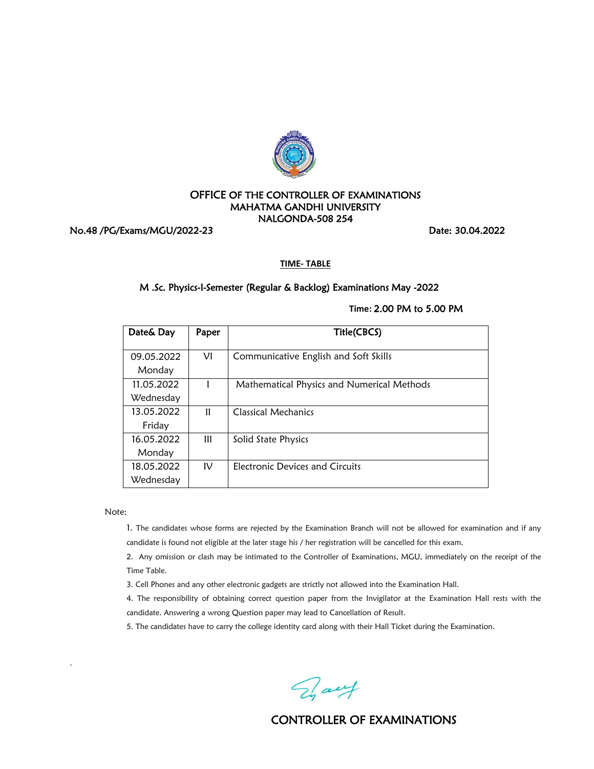

No.48 /PG/Exams/MGU/2022-23 Date: 30.04.2022

#### **TIME- TABLE**

# M .Sc. Physics-I-Semester (Regular & Backlog) Examinations May -2022

#### **Time:** 2.00 PM to 5.00 PM

| Date& Day            | Paper        | Title(CBCS)                                |
|----------------------|--------------|--------------------------------------------|
| 09.05.2022<br>Monday | VI           | Communicative English and Soft Skills      |
| 11.05.2022           |              | Mathematical Physics and Numerical Methods |
| Wednesday            |              |                                            |
| 13.05.2022           | $\mathbf{1}$ | Classical Mechanics                        |
| Friday               |              |                                            |
| 16.05.2022           | Ш            | Solid State Physics                        |
| Monday               |              |                                            |
| 18.05.2022           | IV           | Electronic Devices and Circuits            |
| Wednesday            |              |                                            |

Note:

.

1. The candidates whose forms are rejected by the Examination Branch will not be allowed for examination and if any candidate is found not eligible at the later stage his / her registration will be cancelled for this exam.

2. Any omission or clash may be intimated to the Controller of Examinations, MGU, immediately on the receipt of the Time Table.

3. Cell Phones and any other electronic gadgets are strictly not allowed into the Examination Hall.

4. The responsibility of obtaining correct question paper from the Invigilator at the Examination Hall rests with the candidate. Answering a wrong Question paper may lead to Cancellation of Result.

5. The candidates have to carry the college identity card along with their Hall Ticket during the Examination.

Fray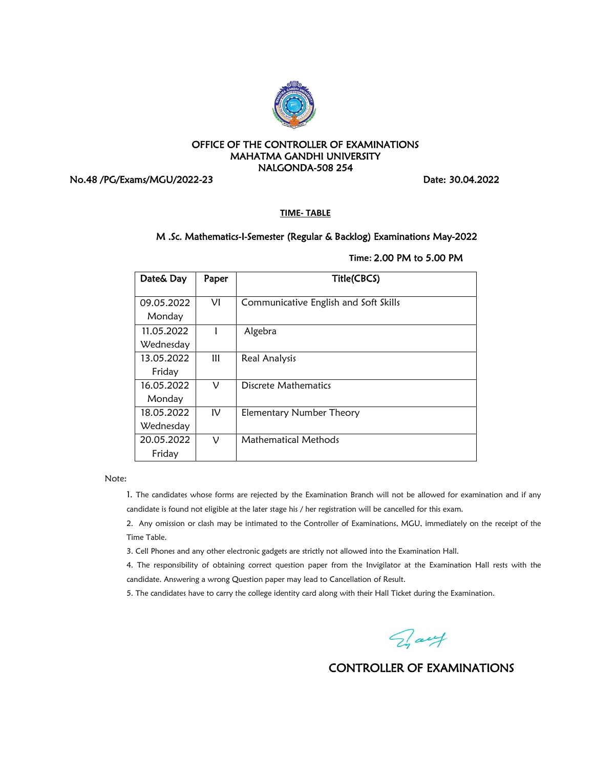

No.48 /PG/Exams/MGU/2022-23 Date: 30.04.2022

**TIME- TABLE**

# M .Sc. Mathematics-I-Semester (Regular & Backlog) Examinations May-2022

| Date& Day  | Paper         | Title(CBCS)                           |
|------------|---------------|---------------------------------------|
| 09.05.2022 | VI            | Communicative English and Soft Skills |
| Monday     |               |                                       |
| 11.05.2022 |               | Algebra                               |
| Wednesday  |               |                                       |
| 13.05.2022 | Ш             | Real Analysis                         |
| Friday     |               |                                       |
| 16.05.2022 | ν             | Discrete Mathematics                  |
| Monday     |               |                                       |
| 18.05.2022 | $\mathsf{IV}$ | Elementary Number Theory              |
| Wednesday  |               |                                       |
| 20.05.2022 | ν             | Mathematical Methods                  |
| Friday     |               |                                       |

# **Time:** 2.00 PM to 5.00 PM

Note:

1. The candidates whose forms are rejected by the Examination Branch will not be allowed for examination and if any candidate is found not eligible at the later stage his / her registration will be cancelled for this exam.

2. Any omission or clash may be intimated to the Controller of Examinations, MGU, immediately on the receipt of the Time Table.

3. Cell Phones and any other electronic gadgets are strictly not allowed into the Examination Hall.

4. The responsibility of obtaining correct question paper from the Invigilator at the Examination Hall rests with the candidate. Answering a wrong Question paper may lead to Cancellation of Result.

Fray

CONTROLLER OF EXAMINATIONS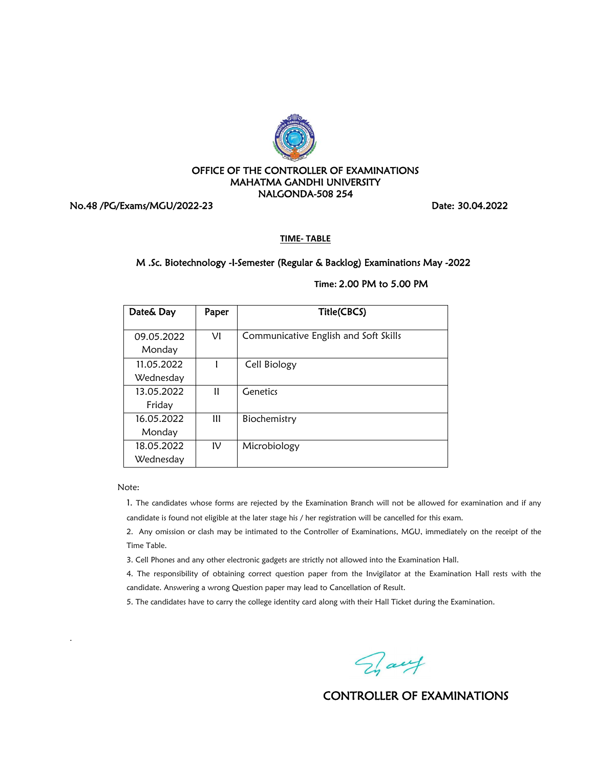

No.48 /PG/Exams/MGU/2022-23 Date: 30.04.2022

**TIME- TABLE**

# M .Sc. Biotechnology -I-Semester (Regular & Backlog) Examinations May -2022

| Date& Day            | Paper          | Title(CBCS)                           |
|----------------------|----------------|---------------------------------------|
| 09.05.2022<br>Monday | νı             | Communicative English and Soft Skills |
| 11.05.2022           |                | Cell Biology                          |
| Wednesday            |                |                                       |
| 13.05.2022           | 11             | Genetics                              |
| Friday               |                |                                       |
| 16.05.2022           | $\mathbf{III}$ | Biochemistry                          |
| Monday               |                |                                       |
| 18.05.2022           | ΙV             | Microbiology                          |
| Wednesday            |                |                                       |

**Time:** 2.00 PM to 5.00 PM

Note:

.

1. The candidates whose forms are rejected by the Examination Branch will not be allowed for examination and if any candidate is found not eligible at the later stage his / her registration will be cancelled for this exam.

2. Any omission or clash may be intimated to the Controller of Examinations, MGU, immediately on the receipt of the Time Table.

3. Cell Phones and any other electronic gadgets are strictly not allowed into the Examination Hall.

4. The responsibility of obtaining correct question paper from the Invigilator at the Examination Hall rests with the candidate. Answering a wrong Question paper may lead to Cancellation of Result.

5. The candidates have to carry the college identity card along with their Hall Ticket during the Examination.

Fraut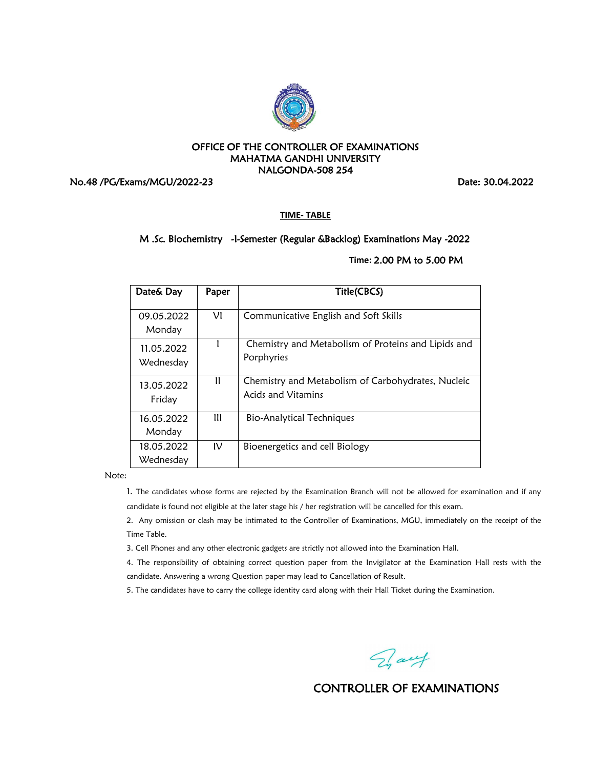

No.48 /PG/Exams/MGU/2022-23 Date: 30.04.2022

**TIME- TABLE**

### M .Sc. Biochemistry -I-Semester (Regular &Backlog) Examinations May -2022

## **Time:** 2.00 PM to 5.00 PM

| Date& Day               | Paper | Title(CBCS)                                                                     |
|-------------------------|-------|---------------------------------------------------------------------------------|
| 09.05.2022<br>Monday    | VI    | Communicative English and Soft Skills                                           |
| 11.05.2022<br>Wednesday |       | Chemistry and Metabolism of Proteins and Lipids and<br>Porphyries               |
| 13.05.2022<br>Friday    | Ħ     | Chemistry and Metabolism of Carbohydrates, Nucleic<br><b>Acids and Vitamins</b> |
| 16.05.2022<br>Monday    | Ш     | <b>Bio-Analytical Techniques</b>                                                |
| 18.05.2022<br>Wednesday | IV    | Bioenergetics and cell Biology                                                  |

Note:

1. The candidates whose forms are rejected by the Examination Branch will not be allowed for examination and if any candidate is found not eligible at the later stage his / her registration will be cancelled for this exam.

2. Any omission or clash may be intimated to the Controller of Examinations, MGU, immediately on the receipt of the Time Table.

3. Cell Phones and any other electronic gadgets are strictly not allowed into the Examination Hall.

4. The responsibility of obtaining correct question paper from the Invigilator at the Examination Hall rests with the candidate. Answering a wrong Question paper may lead to Cancellation of Result.

5. The candidates have to carry the college identity card along with their Hall Ticket during the Examination.

Day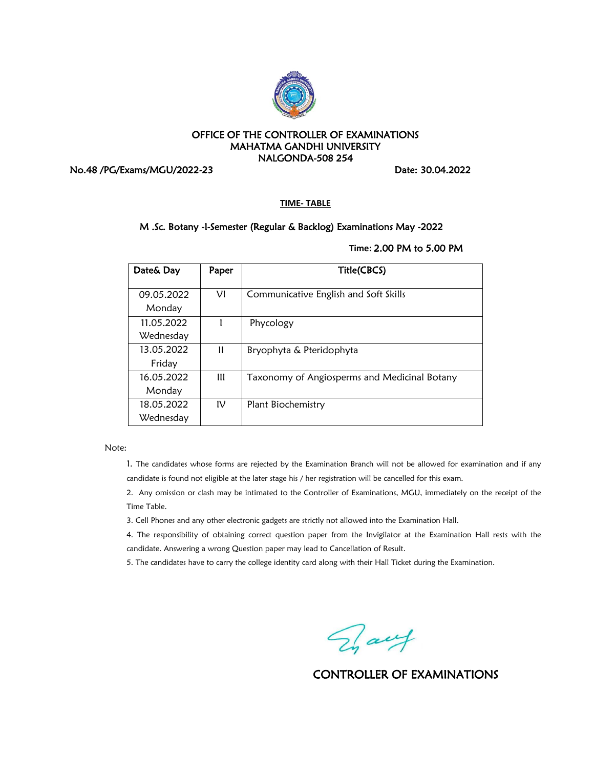

No.48 /PG/Exams/MGU/2022-23 Date: 30.04.2022

#### **TIME- TABLE**

#### M .Sc. Botany -I-Semester (Regular & Backlog) Examinations May -2022

**Time:** 2.00 PM to 5.00 PM

| Date& Day  | Paper | Title(CBCS)                                  |
|------------|-------|----------------------------------------------|
| 09.05.2022 | VI    | Communicative English and Soft Skills        |
| Monday     |       |                                              |
| 11.05.2022 |       | Phycology                                    |
| Wednesday  |       |                                              |
| 13.05.2022 | Ħ     | Bryophyta & Pteridophyta                     |
| Friday     |       |                                              |
| 16.05.2022 | Ш     | Taxonomy of Angiosperms and Medicinal Botany |
| Monday     |       |                                              |
| 18.05.2022 | IV    | Plant Biochemistry                           |
| Wednesday  |       |                                              |

Note:

1. The candidates whose forms are rejected by the Examination Branch will not be allowed for examination and if any candidate is found not eligible at the later stage his / her registration will be cancelled for this exam.

2. Any omission or clash may be intimated to the Controller of Examinations, MGU, immediately on the receipt of the Time Table.

3. Cell Phones and any other electronic gadgets are strictly not allowed into the Examination Hall.

4. The responsibility of obtaining correct question paper from the Invigilator at the Examination Hall rests with the candidate. Answering a wrong Question paper may lead to Cancellation of Result.

Day

CONTROLLER OF EXAMINATIONS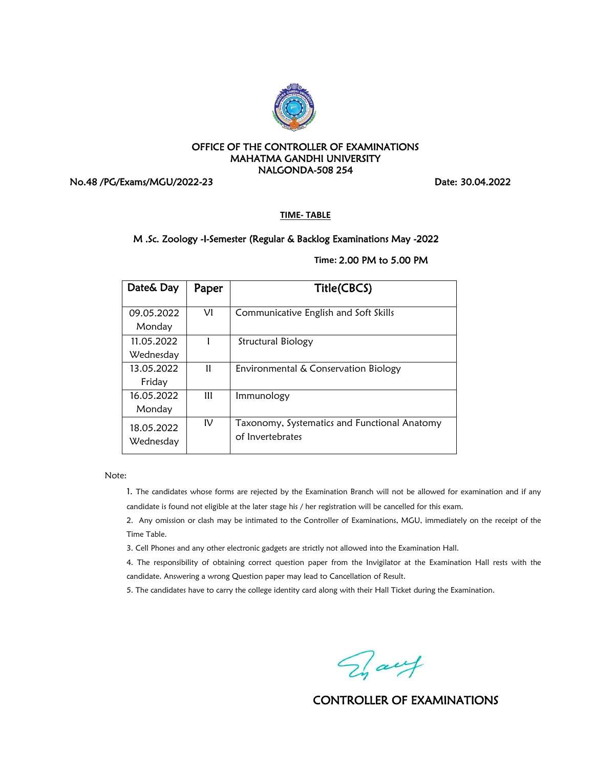

No.48 /PG/Exams/MGU/2022-23 Date: 30.04.2022

**TIME- TABLE**

# M .Sc. Zoology -I-Semester (Regular & Backlog Examinations May -2022

**Time:** 2.00 PM to 5.00 PM

| Date& Day               | Paper        | Title(CBCS)                                                      |
|-------------------------|--------------|------------------------------------------------------------------|
| 09.05.2022<br>Monday    | VI           | Communicative English and Soft Skills                            |
| 11.05.2022<br>Wednesday |              | Structural Biology                                               |
| 13.05.2022<br>Friday    | Ħ            | Environmental & Conservation Biology                             |
| 16.05.2022<br>Monday    | $\mathbf{m}$ | Immunology                                                       |
| 18.05.2022<br>Wednesday | ΙV           | Taxonomy, Systematics and Functional Anatomy<br>of Invertebrates |

Note:

1. The candidates whose forms are rejected by the Examination Branch will not be allowed for examination and if any candidate is found not eligible at the later stage his / her registration will be cancelled for this exam.

2. Any omission or clash may be intimated to the Controller of Examinations, MGU, immediately on the receipt of the Time Table.

3. Cell Phones and any other electronic gadgets are strictly not allowed into the Examination Hall.

4. The responsibility of obtaining correct question paper from the Invigilator at the Examination Hall rests with the candidate. Answering a wrong Question paper may lead to Cancellation of Result.

5. The candidates have to carry the college identity card along with their Hall Ticket during the Examination.

Day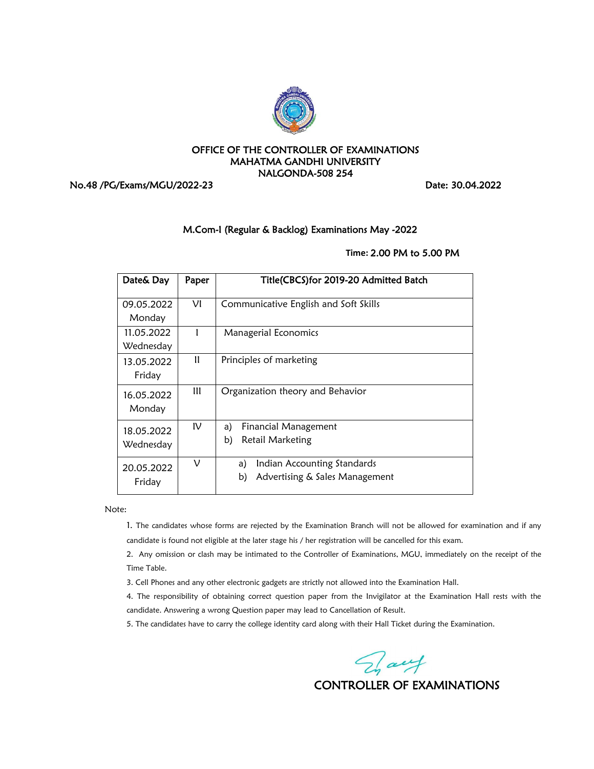

No.48 /PG/Exams/MGU/2022-23 Date: 30.04.2022

# M.Com-I (Regular & Backlog) Examinations May -2022

# **Time:** 2.00 PM to 5.00 PM

| Date& Day               | Paper         | Title(CBCS)for 2019-20 Admitted Batch                                     |
|-------------------------|---------------|---------------------------------------------------------------------------|
| 09.05.2022<br>Monday    | VI            | Communicative English and Soft Skills                                     |
| 11.05.2022<br>Wednesday |               | <b>Managerial Economics</b>                                               |
| 13.05.2022<br>Friday    | $\mathbf{u}$  | Principles of marketing                                                   |
| 16.05.2022<br>Monday    | Ш             | Organization theory and Behavior                                          |
| 18.05.2022<br>Wednesday | $\mathsf{IV}$ | Financial Management<br>a)<br>Retail Marketing<br>b)                      |
| 20.05.2022<br>Friday    | ν             | Indian Accounting Standards<br>a)<br>Advertising & Sales Management<br>b) |

Note:

1. The candidates whose forms are rejected by the Examination Branch will not be allowed for examination and if any candidate is found not eligible at the later stage his / her registration will be cancelled for this exam.

2. Any omission or clash may be intimated to the Controller of Examinations, MGU, immediately on the receipt of the Time Table.

3. Cell Phones and any other electronic gadgets are strictly not allowed into the Examination Hall.

4. The responsibility of obtaining correct question paper from the Invigilator at the Examination Hall rests with the candidate. Answering a wrong Question paper may lead to Cancellation of Result.

5. The candidates have to carry the college identity card along with their Hall Ticket during the Examination.

Fraut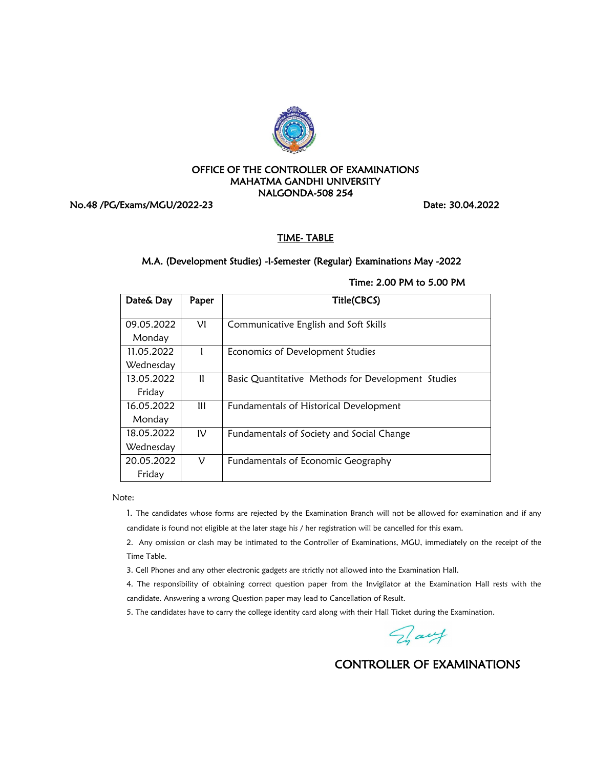

No.48 /PG/Exams/MGU/2022-23 Date: 30.04.2022

# TIME- TABLE

# M.A. (Development Studies) -I-Semester (Regular) Examinations May -2022

| Date& Day  | Paper | Title(CBCS)                                        |
|------------|-------|----------------------------------------------------|
| 09.05.2022 | VI    | Communicative English and Soft Skills              |
| Monday     |       |                                                    |
| 11.05.2022 |       | Economics of Development Studies                   |
| Wednesday  |       |                                                    |
| 13.05.2022 | Ħ     | Basic Quantitative Methods for Development Studies |
| Friday     |       |                                                    |
| 16.05.2022 | Ш     | Fundamentals of Historical Development             |
| Monday     |       |                                                    |
| 18.05.2022 | IV    | Fundamentals of Society and Social Change          |
| Wednesday  |       |                                                    |
| 20.05.2022 | ν     | Fundamentals of Economic Geography                 |
| Friday     |       |                                                    |

Time: 2.00 PM to 5.00 PM

Note:

1. The candidates whose forms are rejected by the Examination Branch will not be allowed for examination and if any candidate is found not eligible at the later stage his / her registration will be cancelled for this exam.

2. Any omission or clash may be intimated to the Controller of Examinations, MGU, immediately on the receipt of the Time Table.

3. Cell Phones and any other electronic gadgets are strictly not allowed into the Examination Hall.

4. The responsibility of obtaining correct question paper from the Invigilator at the Examination Hall rests with the candidate. Answering a wrong Question paper may lead to Cancellation of Result.

5. The candidates have to carry the college identity card along with their Hall Ticket during the Examination.

Fray